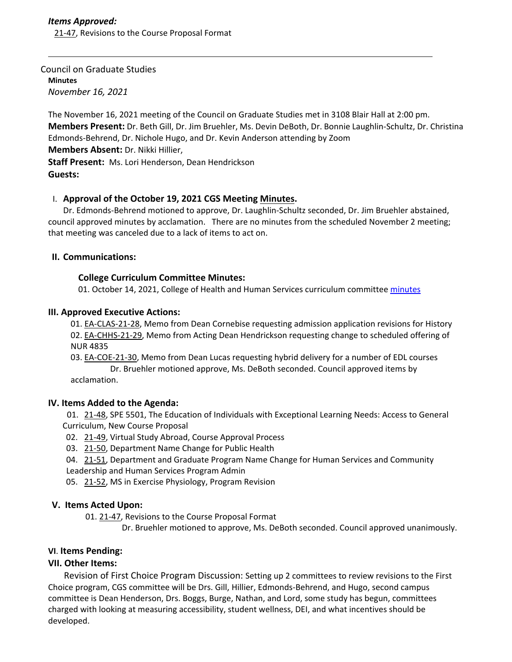### Council on Graduate Studies **Minutes** *November 16, 2021*

The November 16, 2021 meeting of the Council on Graduate Studies met in 3108 Blair Hall at 2:00 pm. **Members Present:** Dr. Beth Gill, Dr. Jim Bruehler, Ms. Devin DeBoth, Dr. Bonnie Laughlin‐Schultz, Dr. Christina Edmonds‐Behrend, Dr. Nichole Hugo, and Dr. Kevin Anderson attending by Zoom **Members Absent:** Dr. Nikki Hillier,

**Staff Present:** Ms. Lori Henderson, Dean Hendrickson **Guests:**

## I. **Approval of the October 19, 2021 CGS Meeting [Minutes.](https://castle.eiu.edu/eiucgs/currentminutes/Minutes10-19-21.pdf)**

Dr. Edmonds‐Behrend motioned to approve, Dr. Laughlin‐Schultz seconded, Dr. Jim Bruehler abstained, council approved minutes by acclamation. There are no minutes from the scheduled November 2 meeting; that meeting was canceled due to a lack of items to act on.

## **II. Communications:**

## **College Curriculum Committee Minutes:**

01. October 14, 2021, College of Health and Human Services curriculum committee [minutes](https://www.eiu.edu/chhs/curriculum.php)

## **III. Approved Executive Actions:**

01. EA‐[CLAS](https://castle.eiu.edu/eiucgs/exec-actions/EA-CLAS-21-28.pdf)‐21‐28, Memo from Dean Cornebise requesting admission application revisions for History 02. EA‐[CHHS](https://castle.eiu.edu/eiucgs/exec-actions/EA-CHHS-21-29.pdf)‐21‐29, Memo from Acting Dean Hendrickson requesting change to scheduled offering of NUR 4835

03. EA-[COE](https://castle.eiu.edu/eiucgs/exec-actions/EA-COE-21-30.pdf)-21-30, Memo from Dean Lucas requesting hybrid delivery for a number of EDL courses Dr. Bruehler motioned approve, Ms. DeBoth seconded. Council approved items by acclamation.

### **IV. Items Added to the Agenda:**

01. 21-[48,](https://castle.eiu.edu/eiucgs/currentagendaitems/agenda21-48.pdf) SPE 5501, The Education of Individuals with Exceptional Learning Needs: Access to General Curriculum, New Course Proposal

02. 21-[49,](https://castle.eiu.edu/eiucgs/currentagendaitems/agenda21-49.pdf) Virtual Study Abroad, Course Approval Process

03. 21-[50,](https://castle.eiu.edu/eiucgs/currentagendaitems/agenda21-50.pdf) Department Name Change for Public Health

04. [21](https://castle.eiu.edu/eiucgs/currentagendaitems/agenda21-51.pdf)-51, Department and Graduate Program Name Change for Human Services and Community Leadership and Human Services Program Admin

05. 21-[52,](https://castle.eiu.edu/eiucgs/currentagendaitems/agenda21-52.pdf) MS in Exercise Physiology, Program Revision

### **V. Items Acted Upon:**

01. 21‐[47,](https://castle.eiu.edu/eiucgs/currentagendaitems/agenda21-47.pdf) Revisions to the Course Proposal Format

Dr. Bruehler motioned to approve, Ms. DeBoth seconded. Council approved unanimously.

# **VI**. **Items Pending:**

# **VII. Other Items:**

 Revision of First Choice Program Discussion: Setting up 2 committees to review revisions to the First Choice program, CGS committee will be Drs. Gill, Hillier, Edmonds‐Behrend, and Hugo, second campus committee is Dean Henderson, Drs. Boggs, Burge, Nathan, and Lord, some study has begun, committees charged with looking at measuring accessibility, student wellness, DEI, and what incentives should be developed.